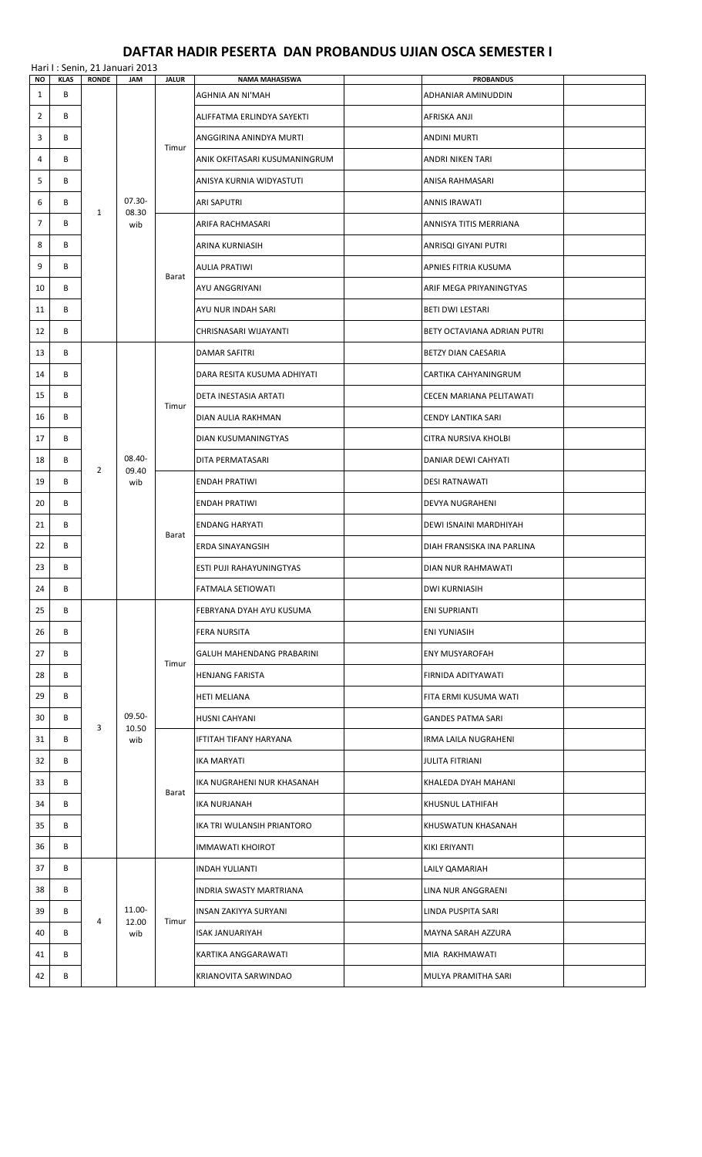## **DAFTAR HADIR PESERTA DAN PROBANDUS UJIAN OSCA SEMESTER I**

|                | Hari I: Senin, 21 Januari 2013 |                |                           |                |                                           |  |                                        |  |  |  |
|----------------|--------------------------------|----------------|---------------------------|----------------|-------------------------------------------|--|----------------------------------------|--|--|--|
| NO<br>1        | <b>KLAS</b><br>B               | <b>RONDE</b>   | <b>JAM</b>                | <b>JALUR</b>   | <b>NAMA MAHASISWA</b><br>AGHNIA AN NI'MAH |  | <b>PROBANDUS</b><br>ADHANIAR AMINUDDIN |  |  |  |
| $\overline{2}$ | B                              |                |                           | Timur          | ALIFFATMA ERLINDYA SAYEKTI                |  | AFRISKA ANJI                           |  |  |  |
| 3              | В                              |                |                           |                | ANGGIRINA ANINDYA MURTI                   |  | <b>ANDINI MURTI</b>                    |  |  |  |
| 4              | В                              |                |                           |                | ANIK OKFITASARI KUSUMANINGRUM             |  | ANDRI NIKEN TARI                       |  |  |  |
| 5              | В                              |                |                           |                | ANISYA KURNIA WIDYASTUTI                  |  | ANISA RAHMASARI                        |  |  |  |
| 6              | В                              |                | $07.30 -$<br>08.30<br>wib |                | <b>ARI SAPUTRI</b>                        |  | <b>ANNIS IRAWATI</b>                   |  |  |  |
| $\overline{7}$ | В                              | $\mathbf{1}$   |                           |                | ARIFA RACHMASARI                          |  | ANNISYA TITIS MERRIANA                 |  |  |  |
| 8              | B                              |                |                           |                | ARINA KURNIASIH                           |  | ANRISQI GIYANI PUTRI                   |  |  |  |
| 9              | B                              |                |                           |                | <b>AULIA PRATIWI</b>                      |  | APNIES FITRIA KUSUMA                   |  |  |  |
| 10             | В                              |                |                           | Barat          | AYU ANGGRIYANI                            |  | ARIF MEGA PRIYANINGTYAS                |  |  |  |
| 11             | В                              |                |                           |                | AYU NUR INDAH SARI                        |  | <b>BETI DWI LESTARI</b>                |  |  |  |
| 12             | B                              |                |                           |                | CHRISNASARI WIJAYANTI                     |  | BETY OCTAVIANA ADRIAN PUTRI            |  |  |  |
| 13             | В                              |                |                           |                | <b>DAMAR SAFITRI</b>                      |  | BETZY DIAN CAESARIA                    |  |  |  |
| 14             | В                              |                |                           |                | DARA RESITA KUSUMA ADHIYATI               |  | CARTIKA CAHYANINGRUM                   |  |  |  |
| 15             | В                              |                |                           | Timur          | DETA INESTASIA ARTATI                     |  | CECEN MARIANA PELITAWATI               |  |  |  |
| 16             | B                              |                |                           |                | DIAN AULIA RAKHMAN                        |  | CENDY LANTIKA SARI                     |  |  |  |
| 17             | В                              |                |                           |                | DIAN KUSUMANINGTYAS                       |  | CITRA NURSIVA KHOLBI                   |  |  |  |
| 18             | В                              | $\overline{2}$ | 08.40-<br>09.40           |                | DITA PERMATASARI                          |  | DANIAR DEWI CAHYATI                    |  |  |  |
| 19             | В                              |                | wib                       | Barat          | <b>ENDAH PRATIWI</b>                      |  | <b>DESI RATNAWATI</b>                  |  |  |  |
| 20             | В                              |                |                           |                | <b>ENDAH PRATIWI</b>                      |  | DEVYA NUGRAHENI                        |  |  |  |
| 21             | В                              |                |                           |                | <b>ENDANG HARYATI</b>                     |  | DEWI ISNAINI MARDHIYAH                 |  |  |  |
| 22             | В                              |                |                           |                | <b>ERDA SINAYANGSIH</b>                   |  | DIAH FRANSISKA INA PARLINA             |  |  |  |
| 23             | В                              |                |                           |                | <b>ESTI PUJI RAHAYUNINGTYAS</b>           |  | DIAN NUR RAHMAWATI                     |  |  |  |
| 24             | B                              |                |                           |                | <b>FATMALA SETIOWATI</b>                  |  | <b>DWI KURNIASIH</b>                   |  |  |  |
| 25             | В                              |                |                           | Timur<br>Barat | FEBRYANA DYAH AYU KUSUMA                  |  | <b>ENI SUPRIANTI</b>                   |  |  |  |
| 26             | В                              |                |                           |                | <b>FERA NURSITA</b>                       |  | <b>ENI YUNIASIH</b>                    |  |  |  |
| 27             | В                              |                |                           |                | GALUH MAHENDANG PRABARINI                 |  | ENY MUSYAROFAH                         |  |  |  |
| 28             | В                              |                |                           |                | <b>HENJANG FARISTA</b>                    |  | FIRNIDA ADITYAWATI                     |  |  |  |
| 29             | В                              |                |                           |                | <b>HETI MELIANA</b>                       |  | FITA ERMI KUSUMA WATI                  |  |  |  |
| 30             | В                              | 3              | 09.50-<br>10.50           |                | <b>HUSNI CAHYANI</b>                      |  | <b>GANDES PATMA SARI</b>               |  |  |  |
| 31             | В                              |                | wib                       |                | IFTITAH TIFANY HARYANA                    |  | IRMA LAILA NUGRAHENI                   |  |  |  |
| 32             | В                              |                |                           |                | <b>IKA MARYATI</b>                        |  | <b>JULITA FITRIANI</b>                 |  |  |  |
| 33             | B                              |                |                           |                | IKA NUGRAHENI NUR KHASANAH                |  | KHALEDA DYAH MAHANI                    |  |  |  |
| 34             | В                              |                |                           |                | IKA NURJANAH                              |  | KHUSNUL LATHIFAH                       |  |  |  |
| 35             | В                              |                |                           |                | IKA TRI WULANSIH PRIANTORO                |  | KHUSWATUN KHASANAH                     |  |  |  |
| 36             | В                              |                |                           |                | <b>IMMAWATI KHOIROT</b>                   |  | KIKI ERIYANTI                          |  |  |  |
| 37             | В                              |                |                           |                | <b>INDAH YULIANTI</b>                     |  | LAILY QAMARIAH                         |  |  |  |
| 38             | В                              |                |                           |                | <b>INDRIA SWASTY MARTRIANA</b>            |  | LINA NUR ANGGRAENI                     |  |  |  |
| 39             | В                              | 4              | 11.00-<br>12.00           | Timur          | <b>INSAN ZAKIYYA SURYANI</b>              |  | LINDA PUSPITA SARI                     |  |  |  |
| 40             | В                              |                | wib                       |                | <b>ISAK JANUARIYAH</b>                    |  | MAYNA SARAH AZZURA                     |  |  |  |
| 41             | B                              |                |                           |                | KARTIKA ANGGARAWATI                       |  | MIA RAKHMAWATI                         |  |  |  |
| 42             | В                              |                |                           |                | KRIANOVITA SARWINDAO                      |  | MULYA PRAMITHA SARI                    |  |  |  |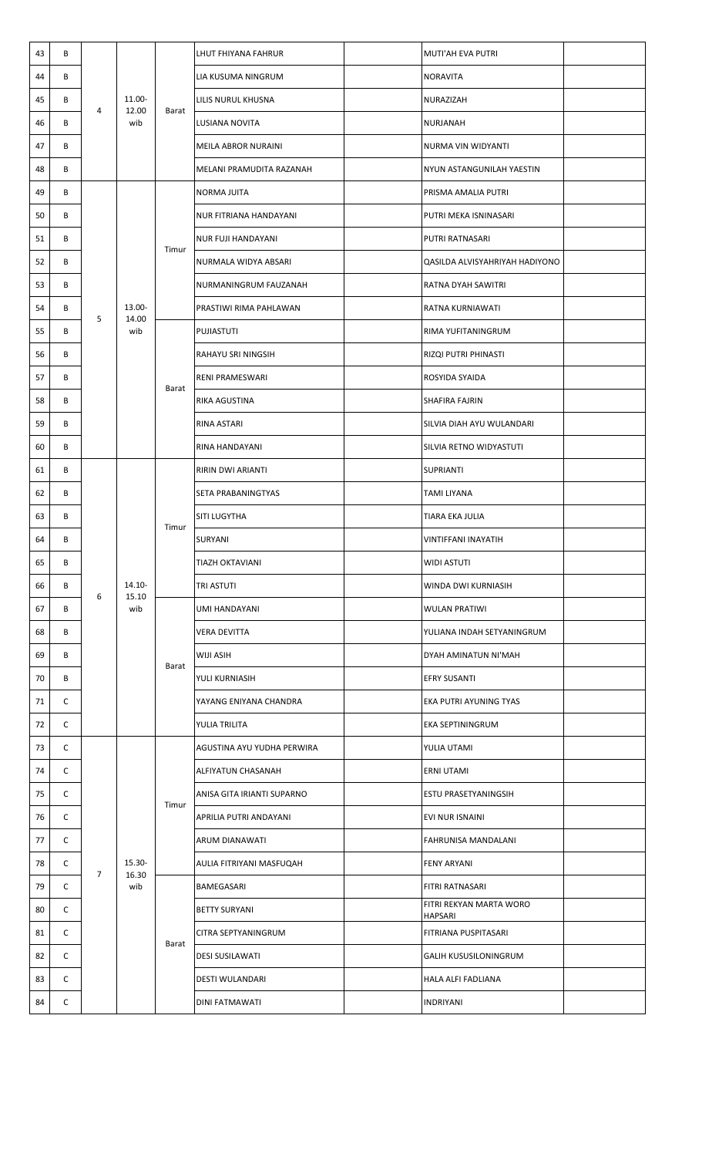| 43 | В |   |                        | Barat          | LHUT FHIYANA FAHRUR        | MUTI'AH EVA PUTRI                         |  |
|----|---|---|------------------------|----------------|----------------------------|-------------------------------------------|--|
| 44 | B |   | 11.00-<br>12.00<br>wib |                | LIA KUSUMA NINGRUM         | NORAVITA                                  |  |
| 45 | B | 4 |                        |                | LILIS NURUL KHUSNA         | NURAZIZAH                                 |  |
| 46 | B |   |                        |                | LUSIANA NOVITA             | NURJANAH                                  |  |
| 47 | B |   |                        |                | MEILA ABROR NURAINI        | NURMA VIN WIDYANTI                        |  |
| 48 | В |   |                        |                | MELANI PRAMUDITA RAZANAH   | NYUN ASTANGUNILAH YAESTIN                 |  |
| 49 | B |   |                        |                | <b>NORMA JUITA</b>         | PRISMA AMALIA PUTRI                       |  |
| 50 | В |   |                        | Timur          | NUR FITRIANA HANDAYANI     | PUTRI MEKA ISNINASARI                     |  |
| 51 | B |   |                        |                | <b>NUR FUJI HANDAYANI</b>  | PUTRI RATNASARI                           |  |
| 52 | B |   |                        |                | NURMALA WIDYA ABSARI       | QASILDA ALVISYAHRIYAH HADIYONO            |  |
| 53 | B |   |                        |                | NURMANINGRUM FAUZANAH      | RATNA DYAH SAWITRI                        |  |
| 54 | В | 5 | 13.00-<br>14.00        |                | PRASTIWI RIMA PAHLAWAN     | RATNA KURNIAWATI                          |  |
| 55 | В |   | wib                    |                | PUJIASTUTI                 | RIMA YUFITANINGRUM                        |  |
| 56 | B |   |                        |                | RAHAYU SRI NINGSIH         | RIZQI PUTRI PHINASTI                      |  |
| 57 | В |   |                        |                | RENI PRAMESWARI            | ROSYIDA SYAIDA                            |  |
| 58 | B |   |                        | Barat          | RIKA AGUSTINA              | SHAFIRA FAJRIN                            |  |
| 59 | B |   |                        |                | RINA ASTARI                | SILVIA DIAH AYU WULANDARI                 |  |
| 60 | B |   |                        |                | RINA HANDAYANI             | SILVIA RETNO WIDYASTUTI                   |  |
| 61 | В |   | 14.10-<br>15.10<br>wib | Timur<br>Barat | RIRIN DWI ARIANTI          | SUPRIANTI                                 |  |
| 62 | B | 6 |                        |                | SETA PRABANINGTYAS         | TAMI LIYANA                               |  |
| 63 | B |   |                        |                | SITI LUGYTHA               | TIARA EKA JULIA                           |  |
| 64 | В |   |                        |                | SURYANI                    | VINTIFFANI INAYATIH                       |  |
| 65 | В |   |                        |                | <b>TIAZH OKTAVIANI</b>     | WIDI ASTUTI                               |  |
| 66 | В |   |                        |                | TRI ASTUTI                 | WINDA DWI KURNIASIH                       |  |
| 67 | В |   |                        |                | <b>UMI HANDAYANI</b>       | <b>WULAN PRATIWI</b>                      |  |
| 68 | B |   |                        |                | <b>VERA DEVITTA</b>        | YULIANA INDAH SETYANINGRUM                |  |
| 69 | В |   |                        |                | WIJI ASIH                  | DYAH AMINATUN NI'MAH                      |  |
| 70 | B |   |                        |                | YULI KURNIASIH             | <b>EFRY SUSANTI</b>                       |  |
| 71 | C |   |                        |                | YAYANG ENIYANA CHANDRA     | EKA PUTRI AYUNING TYAS                    |  |
| 72 | C |   |                        |                | YULIA TRILITA              | EKA SEPTININGRUM                          |  |
| 73 | C |   |                        |                | AGUSTINA AYU YUDHA PERWIRA | YULIA UTAMI                               |  |
| 74 | C |   |                        |                | ALFIYATUN CHASANAH         | ERNI UTAMI                                |  |
| 75 | C |   |                        |                | ANISA GITA IRIANTI SUPARNO | ESTU PRASETYANINGSIH                      |  |
| 76 | C |   |                        | Timur          | APRILIA PUTRI ANDAYANI     | EVI NUR ISNAINI                           |  |
| 77 | C |   |                        |                | ARUM DIANAWATI             | FAHRUNISA MANDALANI                       |  |
| 78 | C |   | $15.30 -$              |                | AULIA FITRIYANI MASFUQAH   | <b>FENY ARYANI</b>                        |  |
| 79 | C | 7 | 16.30<br>wib           |                | BAMEGASARI                 | FITRI RATNASARI                           |  |
| 80 | C |   |                        |                | <b>BETTY SURYANI</b>       | FITRI REKYAN MARTA WORO<br><b>HAPSARI</b> |  |
| 81 | C |   |                        | Barat          | CITRA SEPTYANINGRUM        | FITRIANA PUSPITASARI                      |  |
| 82 | C |   |                        |                | <b>DESI SUSILAWATI</b>     | <b>GALIH KUSUSILONINGRUM</b>              |  |
| 83 | C |   |                        |                | DESTI WULANDARI            | HALA ALFI FADLIANA                        |  |
| 84 | C |   |                        |                | DINI FATMAWATI             | <b>INDRIYANI</b>                          |  |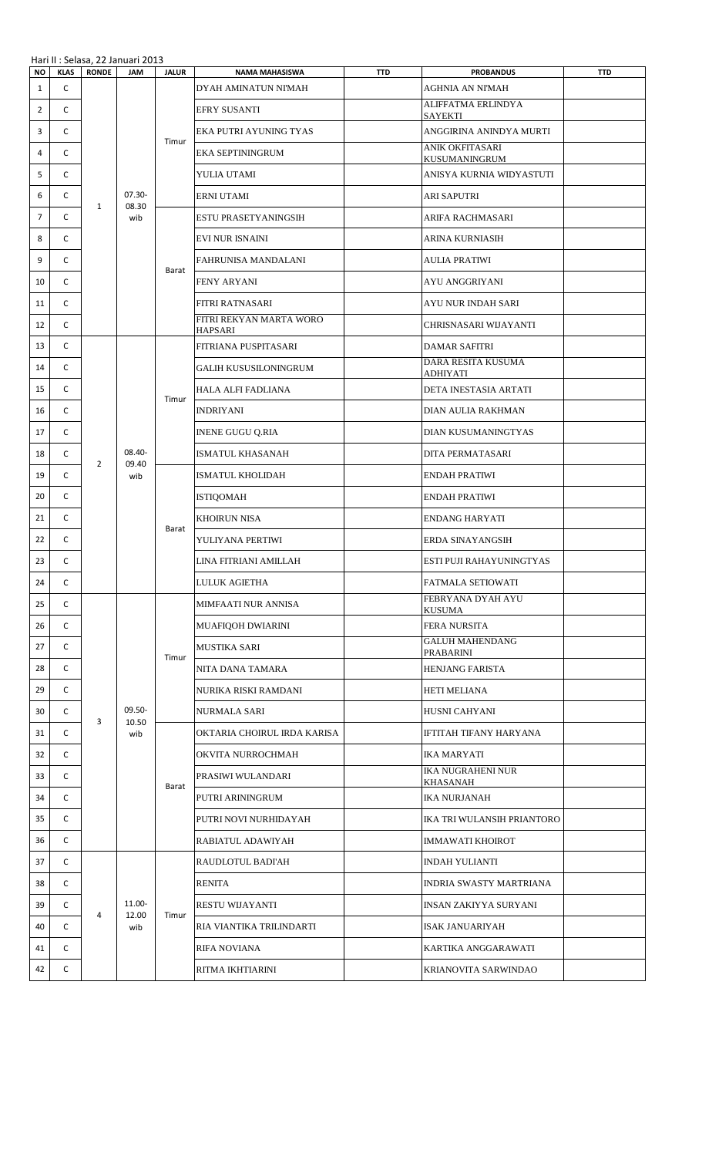|                | Hari II : Selasa, 22 Januari 2013 |                |                           |                            |                                               |            |                                       |            |  |
|----------------|-----------------------------------|----------------|---------------------------|----------------------------|-----------------------------------------------|------------|---------------------------------------|------------|--|
| <b>NO</b><br>1 | <b>KLAS</b><br>C                  | <b>RONDE</b>   |                           | <b>JALUR</b><br><b>JAM</b> | <b>NAMA MAHASISWA</b><br>DYAH AMINATUN NI'MAH | <b>TTD</b> | <b>PROBANDUS</b><br>AGHNIA AN NI'MAH  | <b>TTD</b> |  |
| $\overline{2}$ | C                                 |                |                           |                            | EFRY SUSANTI                                  |            | ALIFFATMA ERLINDYA                    |            |  |
| 3              | C                                 |                |                           |                            | EKA PUTRI AYUNING TYAS                        |            | SAYEKTI<br>ANGGIRINA ANINDYA MURTI    |            |  |
|                |                                   | $\mathbf{1}$   |                           | Timur                      |                                               |            | ANIK OKFITASARI                       |            |  |
| 4              | C                                 |                |                           |                            | EKA SEPTININGRUM                              |            | KUSUMANINGRUM                         |            |  |
| 5              | C                                 |                |                           |                            | YULIA UTAMI                                   |            | ANISYA KURNIA WIDYASTUTI              |            |  |
| 6              | C                                 |                | $07.30 -$<br>08.30        |                            | ERNI UTAMI                                    |            | ARI SAPUTRI                           |            |  |
| 7              | C                                 |                | wib                       | Barat                      | ESTU PRASETYANINGSIH                          |            | ARIFA RACHMASARI                      |            |  |
| 8              | C                                 |                |                           |                            | EVI NUR ISNAINI                               |            | ARINA KURNIASIH                       |            |  |
| 9              | C                                 |                |                           |                            | FAHRUNISA MANDALANI                           |            | AULIA PRATIWI                         |            |  |
| 10             | C                                 |                |                           |                            | <b>FENY ARYANI</b>                            |            | AYU ANGGRIYANI                        |            |  |
| 11             | C                                 |                |                           |                            | FITRI RATNASARI                               |            | AYU NUR INDAH SARI                    |            |  |
| 12             | C                                 |                |                           |                            | FITRI REKYAN MARTA WORO<br><b>HAPSARI</b>     |            | CHRISNASARI WIJAYANTI                 |            |  |
| 13             | C                                 |                |                           |                            | FITRIANA PUSPITASARI                          |            | DAMAR SAFITRI                         |            |  |
| 14             | C                                 |                |                           |                            | GALIH KUSUSILONINGRUM                         |            | DARA RESITA KUSUMA<br><b>ADHIYATI</b> |            |  |
| 15             | C                                 |                |                           |                            | HALA ALFI FADLIANA                            |            | DETA INESTASIA ARTATI                 |            |  |
| 16             | C                                 |                |                           | Timur                      | <b>INDRIYANI</b>                              |            | DIAN AULIA RAKHMAN                    |            |  |
| 17             | C                                 |                |                           |                            | <b>INENE GUGU Q.RIA</b>                       |            | DIAN KUSUMANINGTYAS                   |            |  |
| 18             | C                                 |                | $08.40 -$<br>09.40<br>wib |                            | ISMATUL KHASANAH                              |            | DITA PERMATASARI                      |            |  |
| 19             | C                                 | $\overline{2}$ |                           | Barat                      | ISMATUL KHOLIDAH                              |            | ENDAH PRATIWI                         |            |  |
| 20             | C                                 |                |                           |                            | <b>ISTIQOMAH</b>                              |            | ENDAH PRATIWI                         |            |  |
| 21             | C                                 |                |                           |                            | KHOIRUN NISA                                  |            | ENDANG HARYATI                        |            |  |
| 22             | C                                 |                |                           |                            | YULIYANA PERTIWI                              |            | ERDA SINAYANGSIH                      |            |  |
| 23             | C                                 |                |                           |                            | LINA FITRIANI AMILLAH                         |            | ESTI PUJI RAHAYUNINGTYAS              |            |  |
| 24             | C                                 |                |                           |                            | LULUK AGIETHA                                 |            | FATMALA SETIOWATI                     |            |  |
| 25             | C                                 |                |                           | Timur                      | MIMFAATI NUR ANNISA                           |            | FEBRYANA DYAH AYU<br>KUSUMA           |            |  |
| 26             | C                                 |                |                           |                            | MUAFIQOH DWIARINI                             |            | FERA NURSITA                          |            |  |
| 27             | C                                 |                |                           |                            | <b>MUSTIKA SARI</b>                           |            | <b>GALUH MAHENDANG</b>                |            |  |
| 28             | C                                 |                |                           |                            | NITA DANA TAMARA                              |            | PRABARINI<br><b>HENJANG FARISTA</b>   |            |  |
| 29             | C                                 |                |                           |                            | NURIKA RISKI RAMDANI                          |            | HETI MELIANA                          |            |  |
| 30             | $\mathsf{C}$                      |                | $09.50 -$                 |                            | NURMALA SARI                                  |            | HUSNI CAHYANI                         |            |  |
| 31             | C                                 | 3              | 10.50<br>wib              |                            | OKTARIA CHOIRUL IRDA KARISA                   |            | IFTITAH TIFANY HARYANA                |            |  |
| 32             | C                                 |                |                           |                            | OKVITA NURROCHMAH                             |            | IKA MARYATI                           |            |  |
| 33             | C                                 |                |                           |                            | PRASIWI WULANDARI                             |            | IKA NUGRAHENI NUR                     |            |  |
| 34             | C                                 |                |                           | Barat                      | PUTRI ARININGRUM                              |            | KHASANAH<br>IKA NURJANAH              |            |  |
| 35             | C                                 |                |                           |                            | PUTRI NOVI NURHIDAYAH                         |            | IKA TRI WULANSIH PRIANTORO            |            |  |
| 36             | C                                 |                |                           |                            | RABIATUL ADAWIYAH                             |            | IMMAWATI KHOIROT                      |            |  |
| 37             | C                                 |                |                           |                            | RAUDLOTUL BADI'AH                             |            | INDAH YULIANTI                        |            |  |
| 38             | C                                 |                |                           |                            | <b>RENITA</b>                                 |            | INDRIA SWASTY MARTRIANA               |            |  |
| 39             | C                                 |                | 11.00-                    | Timur                      | RESTU WIJAYANTI                               |            | INSAN ZAKIYYA SURYANI                 |            |  |
|                |                                   | 4              | 12.00                     |                            |                                               |            |                                       |            |  |
| 40             | C                                 |                | wib                       |                            | RIA VIANTIKA TRILINDARTI                      |            | ISAK JANUARIYAH                       |            |  |
| 41             | C                                 |                |                           |                            | RIFA NOVIANA                                  |            | KARTIKA ANGGARAWATI                   |            |  |
| 42             | C                                 |                |                           |                            | RITMA IKHTIARINI                              |            | KRIANOVITA SARWINDAO                  |            |  |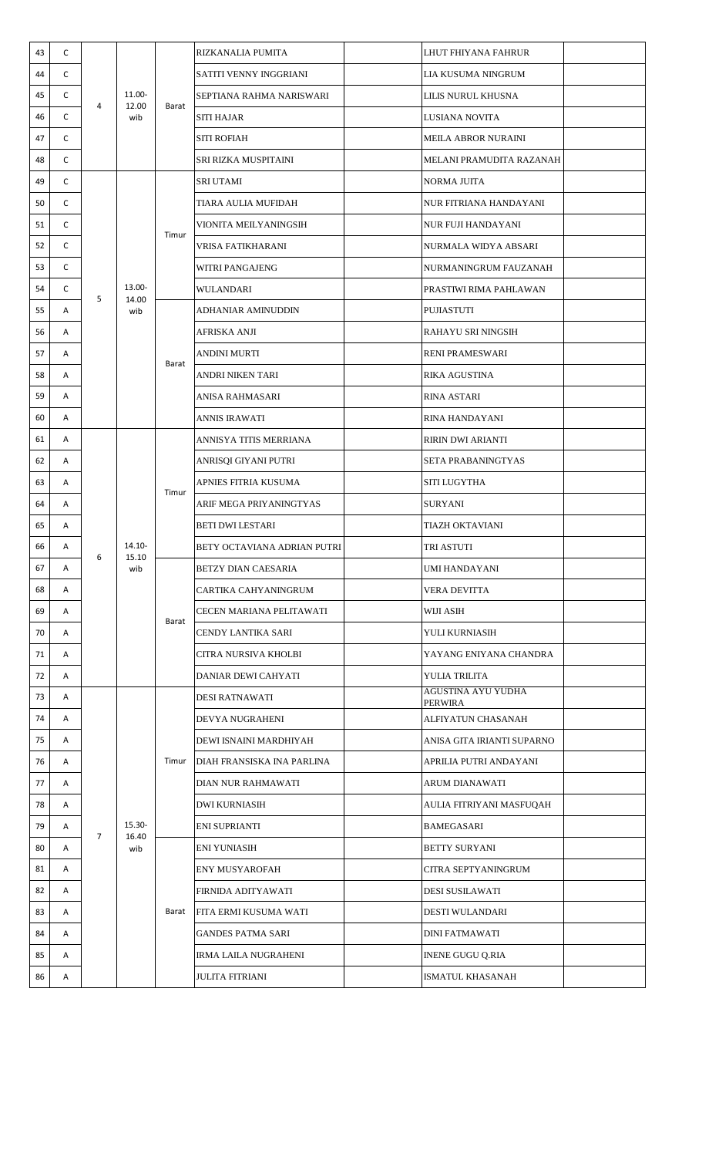| 43 | C |                |                        |                         | RIZKANALIA PUMITA           | LHUT FHIYANA FAHRUR           |  |
|----|---|----------------|------------------------|-------------------------|-----------------------------|-------------------------------|--|
| 44 | C |                | 11.00-<br>12.00<br>wib | Barat                   | SATITI VENNY INGGRIANI      | LIA KUSUMA NINGRUM            |  |
| 45 | C |                |                        |                         | SEPTIANA RAHMA NARISWARI    | LILIS NURUL KHUSNA            |  |
| 46 | C | 4              |                        |                         | SITI HAJAR                  | LUSIANA NOVITA                |  |
| 47 | C |                |                        |                         | <b>SITI ROFIAH</b>          | <b>MEILA ABROR NURAINI</b>    |  |
| 48 | C |                |                        |                         | SRI RIZKA MUSPITAINI        | MELANI PRAMUDITA RAZANAH      |  |
| 49 | C |                |                        |                         | <b>SRI UTAMI</b>            | <b>NORMA JUITA</b>            |  |
| 50 | C |                |                        |                         | TIARA AULIA MUFIDAH         | NUR FITRIANA HANDAYANI        |  |
| 51 | C |                |                        |                         | VIONITA MEILYANINGSIH       | <b>NUR FUJI HANDAYANI</b>     |  |
| 52 | C |                |                        | Timur                   | VRISA FATIKHARANI           | NURMALA WIDYA ABSARI          |  |
| 53 | C |                |                        |                         | WITRI PANGAJENG             | NURMANINGRUM FAUZANAH         |  |
| 54 | C |                | 13.00-                 |                         | WULANDARI                   | PRASTIWI RIMA PAHLAWAN        |  |
| 55 | Α | 5              | 14.00<br>wib           |                         | ADHANIAR AMINUDDIN          | <b>PUJIASTUTI</b>             |  |
| 56 | Α |                |                        |                         | AFRISKA ANJI                | RAHAYU SRI NINGSIH            |  |
| 57 | Α |                |                        |                         | ANDINI MURTI                | <b>RENI PRAMESWARI</b>        |  |
| 58 | Α |                |                        | Barat                   | ANDRI NIKEN TARI            | <b>RIKA AGUSTINA</b>          |  |
| 59 | Α |                |                        |                         | ANISA RAHMASARI             | <b>RINA ASTARI</b>            |  |
| 60 | Α |                |                        |                         | ANNIS IRAWATI               | RINA HANDAYANI                |  |
| 61 | Α |                |                        | Timur<br>Barat<br>Timur | ANNISYA TITIS MERRIANA      | <b>RIRIN DWI ARIANTI</b>      |  |
| 62 | Α |                | 14.10-<br>15.10<br>wib |                         | ANRISQI GIYANI PUTRI        | SETA PRABANINGTYAS            |  |
| 63 | Α | 6              |                        |                         | APNIES FITRIA KUSUMA        | SITI LUGYTHA                  |  |
| 64 | Α |                |                        |                         | ARIF MEGA PRIYANINGTYAS     | SURYANI                       |  |
| 65 | Α |                |                        |                         | <b>BETI DWI LESTARI</b>     | <b>TIAZH OKTAVIANI</b>        |  |
| 66 | Α |                |                        |                         | BETY OCTAVIANA ADRIAN PUTRI | TRI ASTUTI                    |  |
| 67 | Α |                |                        |                         | BETZY DIAN CAESARIA         | UMI HANDAYANI                 |  |
| 68 | Α |                |                        |                         | CARTIKA CAHYANINGRUM        | VERA DEVITTA                  |  |
| 69 | Α |                |                        |                         | CECEN MARIANA PELITAWATI    | WIJI ASIH                     |  |
| 70 | Α |                |                        |                         | CENDY LANTIKA SARI          | YULI KURNIASIH                |  |
| 71 | Α |                |                        |                         | CITRA NURSIVA KHOLBI        | YAYANG ENIYANA CHANDRA        |  |
| 72 | Α |                |                        |                         | DANIAR DEWI CAHYATI         | YULIA TRILITA                 |  |
| 73 | Α |                |                        |                         | DESI RATNAWATI              | AGUSTINA AYU YUDHA<br>PERWIRA |  |
| 74 | Α |                |                        |                         | DEVYA NUGRAHENI             | ALFIYATUN CHASANAH            |  |
| 75 | Α |                |                        |                         | DEWI ISNAINI MARDHIYAH      | ANISA GITA IRIANTI SUPARNO    |  |
| 76 | Α |                |                        |                         | DIAH FRANSISKA INA PARLINA  | APRILIA PUTRI ANDAYANI        |  |
| 77 | Α |                |                        |                         | DIAN NUR RAHMAWATI          | ARUM DIANAWATI                |  |
| 78 | Α |                |                        |                         | DWI KURNIASIH               | AULIA FITRIYANI MASFUQAH      |  |
| 79 | Α |                | 15.30-                 |                         | ENI SUPRIANTI               | <b>BAMEGASARI</b>             |  |
| 80 | Α | $\overline{7}$ | 16.40<br>wib           |                         | <b>ENI YUNIASIH</b>         | <b>BETTY SURYANI</b>          |  |
| 81 | Α |                |                        |                         | ENY MUSYAROFAH              | CITRA SEPTYANINGRUM           |  |
| 82 | Α |                |                        |                         | FIRNIDA ADITYAWATI          | <b>DESI SUSILAWATI</b>        |  |
| 83 | Α |                |                        | Barat                   | FITA ERMI KUSUMA WATI       | DESTI WULANDARI               |  |
| 84 | Α |                |                        |                         | <b>GANDES PATMA SARI</b>    | <b>DINI FATMAWATI</b>         |  |
| 85 | Α |                |                        |                         | <b>IRMA LAILA NUGRAHENI</b> | <b>INENE GUGU Q.RIA</b>       |  |
| 86 | Α |                |                        |                         | <b>JULITA FITRIANI</b>      | ISMATUL KHASANAH              |  |